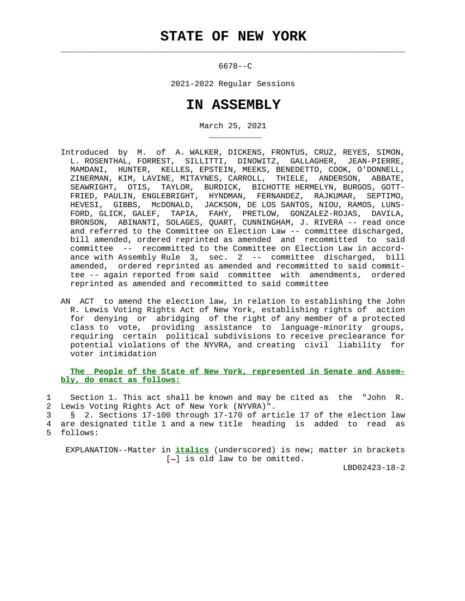$\mathcal{L}_\text{max} = \frac{1}{2} \sum_{i=1}^{n} \frac{1}{2} \sum_{i=1}^{n} \frac{1}{2} \sum_{i=1}^{n} \frac{1}{2} \sum_{i=1}^{n} \frac{1}{2} \sum_{i=1}^{n} \frac{1}{2} \sum_{i=1}^{n} \frac{1}{2} \sum_{i=1}^{n} \frac{1}{2} \sum_{i=1}^{n} \frac{1}{2} \sum_{i=1}^{n} \frac{1}{2} \sum_{i=1}^{n} \frac{1}{2} \sum_{i=1}^{n} \frac{1}{2} \sum_{i=1}^{n} \frac{1$ 

\_\_\_\_\_\_\_\_\_\_\_

6678--C

2021-2022 Regular Sessions

## **IN ASSEMBLY**

March 25, 2021

- Introduced by M. of A. WALKER, DICKENS, FRONTUS, CRUZ, REYES, SIMON, L. ROSENTHAL, FORREST, SILLITTI, DINOWITZ, GALLAGHER, JEAN-PIERRE, MAMDANI, HUNTER, KELLES, EPSTEIN, MEEKS, BENEDETTO, COOK, O'DONNELL, ZINERMAN, KIM, LAVINE, MITAYNES, CARROLL, THIELE, ANDERSON, ABBATE, SEAWRIGHT, OTIS, TAYLOR, BURDICK, BICHOTTE HERMELYN, BURGOS, GOTT- FRIED, PAULIN, ENGLEBRIGHT, HYNDMAN, FERNANDEZ, RAJKUMAR, SEPTIMO, HEVESI, GIBBS, McDONALD, JACKSON, DE LOS SANTOS, NIOU, RAMOS, LUNS- FORD, GLICK, GALEF, TAPIA, FAHY, PRETLOW, GONZALEZ-ROJAS, DAVILA, BRONSON, ABINANTI, SOLAGES, QUART, CUNNINGHAM, J. RIVERA -- read once and referred to the Committee on Election Law -- committee discharged, bill amended, ordered reprinted as amended and recommitted to said committee -- recommitted to the Committee on Election Law in accord ance with Assembly Rule 3, sec. 2 -- committee discharged, bill amended, ordered reprinted as amended and recommitted to said commit tee -- again reported from said committee with amendments, ordered reprinted as amended and recommitted to said committee
- AN ACT to amend the election law, in relation to establishing the John R. Lewis Voting Rights Act of New York, establishing rights of action for denying or abridging of the right of any member of a protected class to vote, providing assistance to language-minority groups, requiring certain political subdivisions to receive preclearance for potential violations of the NYVRA, and creating civil liability for voter intimidation

 **The People of the State of New York, represented in Senate and Assem bly, do enact as follows:**

 1 Section 1. This act shall be known and may be cited as the "John R. 2 Lewis Voting Rights Act of New York (NYVRA)".

 3 § 2. Sections 17-100 through 17-170 of article 17 of the election law 4 are designated title 1 and a new title heading is added to read as 5 follows:

 EXPLANATION--Matter in **italics** (underscored) is new; matter in brackets  $[-]$  is old law to be omitted.

LBD02423-18-2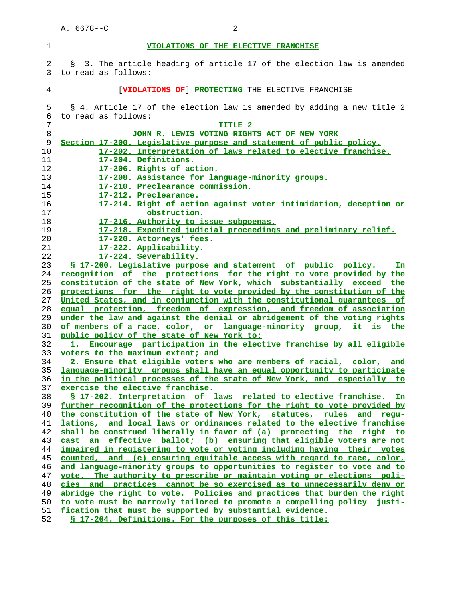## **VIOLATIONS OF THE ELECTIVE FRANCHISE**

|  |  |                       |  |  |  | 2 § 3. The article heading of article 17 of the election law is amended |  |  |
|--|--|-----------------------|--|--|--|-------------------------------------------------------------------------|--|--|
|  |  | 3 to read as follows: |  |  |  |                                                                         |  |  |
|  |  |                       |  |  |  |                                                                         |  |  |

## 4 [**VIOLATIONS OF**] **PROTECTING** THE ELECTIVE FRANCHISE

| 5  | § 4. Article 17 of the election law is amended by adding a new title 2   |
|----|--------------------------------------------------------------------------|
| б  | to read as follows:                                                      |
| 7  | TITLE 2                                                                  |
| 8  | JOHN R. LEWIS VOTING RIGHTS ACT OF NEW YORK                              |
| 9  | Section 17-200. Legislative purpose and statement of public policy.      |
| 10 | 17-202. Interpretation of laws related to elective franchise.            |
| 11 | 17-204. Definitions.                                                     |
| 12 | 17-206. Rights of action.                                                |
| 13 | 17-208. Assistance for language-minority groups.                         |
| 14 | 17-210. Preclearance commission.                                         |
| 15 | 17-212. Preclearance.                                                    |
| 16 | 17-214. Right of action against voter intimidation, deception or         |
| 17 | obstruction.                                                             |
| 18 | 17-216. Authority to issue subpoenas.                                    |
| 19 | 17-218. Expedited judicial proceedings and preliminary relief.           |
| 20 | 17-220. Attorneys' fees.                                                 |
| 21 | 17-222. Applicability.                                                   |
| 22 | 17-224. Severability.                                                    |
| 23 | \$ 17-200. Legislative purpose and statement of public policy. In        |
| 24 | recognition of the protections for the right to vote provided by the     |
| 25 | constitution of the state of New York, which substantially exceed the    |
| 26 | protections for the right to vote provided by the constitution of the    |
| 27 | United States, and in conjunction with the constitutional quarantees of  |
| 28 | equal protection, freedom of expression, and freedom of association      |
| 29 | under the law and against the denial or abridgement of the voting rights |
| 30 | of members of a race, color, or language-minority group, it is the       |
| 31 | public policy of the state of New York to:                               |
| 32 | 1. Encourage participation in the elective franchise by all eligible     |
| 33 | voters to the maximum extent; and                                        |
| 34 | 2. Ensure that eligible voters who are members of racial, color, and     |
| 35 | language-minority groups shall have an equal opportunity to participate  |
| 36 | in the political processes of the state of New York, and especially to   |
| 37 | exercise the elective franchise.                                         |
| 38 | § 17-202. Interpretation of laws related to elective franchise. In       |
| 39 | further recognition of the protections for the right to vote provided by |
| 40 | the constitution of the state of New York, statutes, rules and requ-     |
| 41 | lations, and local laws or ordinances related to the elective franchise  |
| 42 | shall be construed liberally in favor of (a) protecting the right to     |
| 43 | cast an effective ballot; (b) ensuring that eligible voters are not      |
| 44 | impaired in registering to vote or voting including having their votes   |
| 45 | counted, and (c) ensuring equitable access with regard to race, color,   |
| 46 | and language-minority groups to opportunities to register to vote and to |
| 47 | vote. The authority to prescribe or maintain voting or elections poli-   |
| 48 | cies and practices cannot be so exercised as to unnecessarily deny or    |
| 49 | abridge the right to vote. Policies and practices that burden the right  |
| 50 | to vote must be narrowly tailored to promote a compelling policy justi-  |
| 51 | fication that must be supported by substantial evidence.                 |
| 52 | § 17-204. Definitions. For the purposes of this title:                   |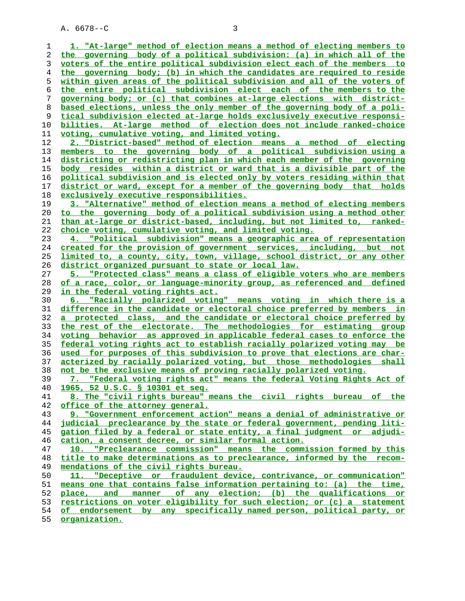**1. "At-large" method of election means a method of electing members to the governing body of a political subdivision: (a) in which all of the voters of the entire political subdivision elect each of the members to the governing body; (b) in which the candidates are required to reside within given areas of the political subdivision and all of the voters of the entire political subdivision elect each of the members to the governing body; or (c) that combines at-large elections with district- based elections, unless the only member of the governing body of a poli- tical subdivision elected at-large holds exclusively executive responsi- bilities. At-large method of election does not include ranked-choice voting, cumulative voting, and limited voting. 2. "District-based" method of election means a method of electing members to the governing body of a political subdivision using a districting or redistricting plan in which each member of the governing body resides within a district or ward that is a divisible part of the political subdivision and is elected only by voters residing within that district or ward, except for a member of the governing body that holds exclusively executive responsibilities. 3. "Alternative" method of election means a method of electing members to the governing body of a political subdivision using a method other than at-large or district-based, including, but not limited to, ranked- choice voting, cumulative voting, and limited voting. 4. "Political subdivision" means a geographic area of representation created for the provision of government services, including, but not limited to, a county, city, town, village, school district, or any other district organized pursuant to state or local law. 5. "Protected class" means a class of eligible voters who are members of a race, color, or language-minority group, as referenced and defined in the federal voting rights act. 6. "Racially polarized voting" means voting in which there is a difference in the candidate or electoral choice preferred by members in a protected class, and the candidate or electoral choice preferred by the rest of the electorate. The methodologies for estimating group voting behavior as approved in applicable federal cases to enforce the federal voting rights act to establish racially polarized voting may be used for purposes of this subdivision to prove that elections are char- acterized by racially polarized voting, but those methodologies shall not be the exclusive means of proving racially polarized voting. 7. "Federal voting rights act" means the federal Voting Rights Act of 1965, 52 U.S.C. § 10301 et seq. 8. The "civil rights bureau" means the civil rights bureau of the office of the attorney general. 9. "Government enforcement action" means a denial of administrative or judicial preclearance by the state or federal government, pending liti- gation filed by a federal or state entity, a final judgment or adjudi- cation, a consent decree, or similar formal action. 10. "Preclearance commission" means the commission formed by this title to make determinations as to preclearance, informed by the recom- mendations of the civil rights bureau. 11. "Deceptive or fraudulent device, contrivance, or communication" means one that contains false information pertaining to: (a) the time, place, and manner of any election; (b) the qualifications or restrictions on voter eligibility for such election; or (c) a statement of endorsement by any specifically named person, political party, or organization.**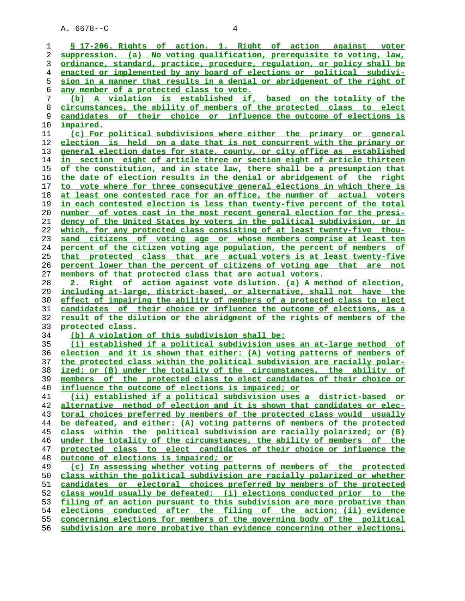**§ 17-206. Rights of action. 1. Right of action against voter suppression. (a) No voting qualification, prerequisite to voting, law, ordinance, standard, practice, procedure, regulation, or policy shall be enacted or implemented by any board of elections or political subdivi- sion in a manner that results in a denial or abridgement of the right of any member of a protected class to vote. (b) A violation is established if, based on the totality of the circumstances, the ability of members of the protected class to elect candidates of their choice or influence the outcome of elections is impaired. (c) For political subdivisions where either the primary or general election is held on a date that is not concurrent with the primary or general election dates for state, county, or city office as established in section eight of article three or section eight of article thirteen of the constitution, and in state law, there shall be a presumption that the date of election results in the denial or abridgement of the right to vote where for three consecutive general elections in which there is at least one contested race for an office, the number of actual voters in each contested election is less than twenty-five percent of the total number of votes cast in the most recent general election for the presi- dency of the United States by voters in the political subdivision, or in which, for any protected class consisting of at least twenty-five thou- sand citizens of voting age or whose members comprise at least ten percent of the citizen voting age population, the percent of members of that protected class that are actual voters is at least twenty-five percent lower than the percent of citizens of voting age that are not members of that protected class that are actual voters. 2. Right of action against vote dilution. (a) A method of election, including at-large, district-based, or alternative, shall not have the effect of impairing the ability of members of a protected class to elect candidates of their choice or influence the outcome of elections, as a result of the dilution or the abridgment of the rights of members of the protected class. (b) A violation of this subdivision shall be: (i) established if a political subdivision uses an at-large method of election and it is shown that either: (A) voting patterns of members of the protected class within the political subdivision are racially polar- ized; or (B) under the totality of the circumstances, the ability of members of the protected class to elect candidates of their choice or influence the outcome of elections is impaired; or (ii) established if a political subdivision uses a district-based or alternative method of election and it is shown that candidates or elec- toral choices preferred by members of the protected class would usually be defeated, and either: (A) voting patterns of members of the protected class within the political subdivision are racially polarized; or (B) under the totality of the circumstances, the ability of members of the protected class to elect candidates of their choice or influence the outcome of elections is impaired; or (c) In assessing whether voting patterns of members of the protected class within the political subdivision are racially polarized or whether candidates or electoral choices preferred by members of the protected class would usually be defeated: (i) elections conducted prior to the filing of an action pursuant to this subdivision are more probative than elections conducted after the filing of the action; (ii) evidence concerning elections for members of the governing body of the political subdivision are more probative than evidence concerning other elections;**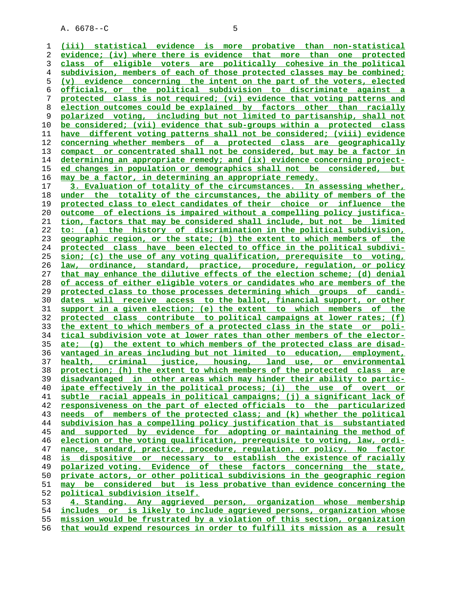$A. 6678 - C$  5

**(iii) statistical evidence is more probative than non-statistical evidence; (iv) where there is evidence that more than one protected class of eligible voters are politically cohesive in the political subdivision, members of each of those protected classes may be combined; (v) evidence concerning the intent on the part of the voters, elected officials, or the political subdivision to discriminate against a protected class is not required; (vi) evidence that voting patterns and election outcomes could be explained by factors other than racially polarized voting, including but not limited to partisanship, shall not be considered; (vii) evidence that sub-groups within a protected class have different voting patterns shall not be considered; (viii) evidence concerning whether members of a protected class are geographically compact or concentrated shall not be considered, but may be a factor in determining an appropriate remedy; and (ix) evidence concerning project- ed changes in population or demographics shall not be considered, but may be a factor, in determining an appropriate remedy. 3. Evaluation of totality of the circumstances. In assessing whether,**

**under the totality of the circumstances, the ability of members of the protected class to elect candidates of their choice or influence the outcome of elections is impaired without a compelling policy justifica- tion, factors that may be considered shall include, but not be limited to: (a) the history of discrimination in the political subdivision, geographic region, or the state; (b) the extent to which members of the protected class have been elected to office in the political subdivi- sion; (c) the use of any voting qualification, prerequisite to voting, law, ordinance, standard, practice, procedure, regulation, or policy that may enhance the dilutive effects of the election scheme; (d) denial of access of either eligible voters or candidates who are members of the protected class to those processes determining which groups of candi- dates will receive access to the ballot, financial support, or other support in a given election; (e) the extent to which members of the protected class contribute to political campaigns at lower rates; (f) the extent to which members of a protected class in the state or poli- tical subdivision vote at lower rates than other members of the elector- ate; (g) the extent to which members of the protected class are disad- vantaged in areas including but not limited to education, employment, health, criminal justice, housing, land use, or environmental protection; (h) the extent to which members of the protected class are disadvantaged in other areas which may hinder their ability to partic- ipate effectively in the political process; (i) the use of overt or subtle racial appeals in political campaigns; (j) a significant lack of responsiveness on the part of elected officials to the particularized needs of members of the protected class; and (k) whether the political subdivision has a compelling policy justification that is substantiated and supported by evidence for adopting or maintaining the method of election or the voting qualification, prerequisite to voting, law, ordi- nance, standard, practice, procedure, regulation, or policy. No factor is dispositive or necessary to establish the existence of racially polarized voting. Evidence of these factors concerning the state, private actors, or other political subdivisions in the geographic region may be considered but is less probative than evidence concerning the political subdivision itself. 4. Standing. Any aggrieved person, organization whose membership**

**includes or is likely to include aggrieved persons, organization whose mission would be frustrated by a violation of this section, organization**

**that would expend resources in order to fulfill its mission as a result**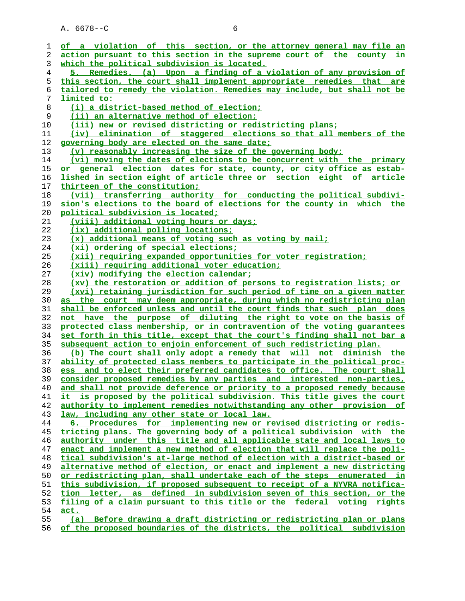| ı  | of a violation of this section, or the attorney general may file an      |
|----|--------------------------------------------------------------------------|
| 2  | action pursuant to this section in the supreme court of the county in    |
| 3  | which the political subdivision is located.                              |
| 4  | 5. Remedies. (a) Upon a finding of a violation of any provision of       |
| 5  | this section, the court shall implement appropriate remedies that are    |
| 6  | tailored to remedy the violation. Remedies may include, but shall not be |
| 7  | limited to:                                                              |
| 8  | (i) a district-based method of election;                                 |
| 9  | (ii) an alternative method of election;                                  |
| 10 | (iii) new or revised districting or redistricting plans;                 |
| 11 | (iv) elimination of staggered elections so that all members of the       |
| 12 | governing body are elected on the same date;                             |
| 13 | (v) reasonably increasing the size of the governing body;                |
| 14 | (vi) moving the dates of elections to be concurrent with the primary     |
| 15 | or general election dates for state, county, or city office as estab-    |
| 16 | lished in section eight of article three or section eight of article     |
| 17 | thirteen of the constitution;                                            |
| 18 | (vii) transferring authority for conducting the political subdivi-       |
| 19 | sion's elections to the board of elections for the county in which the   |
| 20 | political subdivision is located;                                        |
| 21 | (viii) additional voting hours or days;                                  |
| 22 | (ix) additional polling locations;                                       |
| 23 | (x) additional means of voting such as voting by mail;                   |
| 24 | (xi) ordering of special elections;                                      |
| 25 | (xii) requiring expanded opportunities for voter registration;           |
| 26 | (xiii) requiring additional voter education;                             |
| 27 | (xiv) modifying the election calendar;                                   |
| 28 | (xv) the restoration or addition of persons to registration lists; or    |
| 29 | (xvi) retaining jurisdiction for such period of time on a given matter   |
| 30 | as the court may deem appropriate, during which no redistricting plan    |
| 31 | shall be enforced unless and until the court finds that such plan does   |
| 32 | not have the purpose of diluting the right to vote on the basis of       |
| 33 | protected class membership, or in contravention of the voting quarantees |
| 34 | set forth in this title, except that the court's finding shall not bar a |
| 35 | subsequent action to enjoin enforcement of such redistricting plan.      |
| 36 | (b) The court shall only adopt a remedy that will not diminish the       |
| 37 | ability of protected class members to participate in the political proc- |
| 38 | ess and to elect their preferred candidates to office. The court shall   |
| 39 | consider proposed remedies by any parties and interested non-parties,    |
| 40 | and shall not provide deference or priority to a proposed remedy because |
| 41 | it is proposed by the political subdivision. This title gives the court  |
| 42 | authority to implement remedies notwithstanding any other provision of   |
| 43 | law, including any other state or local law.                             |
| 44 | 6. Procedures for implementing new or revised districting or redis-      |
| 45 | tricting plans. The governing body of a political subdivision with the   |
| 46 | authority under this title and all applicable state and local laws to    |
| 47 | enact and implement a new method of election that will replace the poli- |
| 48 | tical subdivision's at-large method of election with a district-based or |
| 49 | alternative method of election, or enact and implement a new districting |
| 50 | or redistricting plan, shall undertake each of the steps enumerated in   |
| 51 | this subdivision, if proposed subsequent to receipt of a NYVRA notifica- |
| 52 | tion letter, as defined in subdivision seven of this section, or the     |
| 53 | filing of a claim pursuant to this title or the federal voting rights    |
| 54 | act.                                                                     |
| 55 | Before drawing a draft districting or redistricting plan or plans<br>(a) |
|    |                                                                          |

**of the proposed boundaries of the districts, the political subdivision**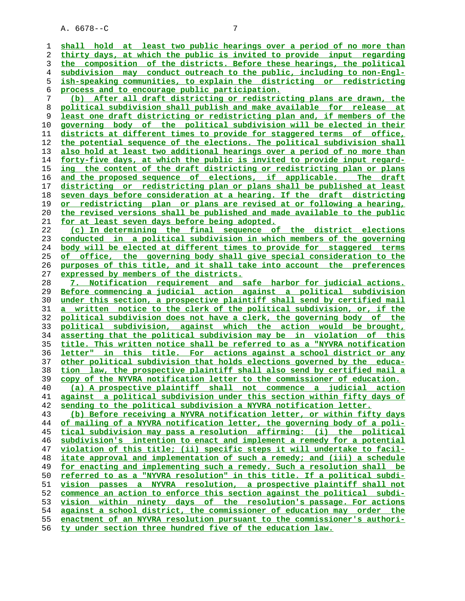**shall hold at least two public hearings over a period of no more than thirty days, at which the public is invited to provide input regarding the composition of the districts. Before these hearings, the political subdivision may conduct outreach to the public, including to non-Engl- ish-speaking communities, to explain the districting or redistricting process and to encourage public participation. (b) After all draft districting or redistricting plans are drawn, the political subdivision shall publish and make available for release at least one draft districting or redistricting plan and, if members of the governing body of the political subdivision will be elected in their districts at different times to provide for staggered terms of office, the potential sequence of the elections. The political subdivision shall also hold at least two additional hearings over a period of no more than forty-five days, at which the public is invited to provide input regard- ing the content of the draft districting or redistricting plan or plans and the proposed sequence of elections, if applicable. The draft districting or redistricting plan or plans shall be published at least seven days before consideration at a hearing. If the draft districting or redistricting plan or plans are revised at or following a hearing, the revised versions shall be published and made available to the public for at least seven days before being adopted. (c) In determining the final sequence of the district elections conducted in a political subdivision in which members of the governing body will be elected at different times to provide for staggered terms of office, the governing body shall give special consideration to the purposes of this title, and it shall take into account the preferences expressed by members of the districts. 7. Notification requirement and safe harbor for judicial actions. Before commencing a judicial action against a political subdivision under this section, a prospective plaintiff shall send by certified mail a written notice to the clerk of the political subdivision, or, if the political subdivision does not have a clerk, the governing body of the political subdivision, against which the action would be brought, asserting that the political subdivision may be in violation of this title. This written notice shall be referred to as a "NYVRA notification letter" in this title. For actions against a school district or any other political subdivision that holds elections governed by the educa- tion law, the prospective plaintiff shall also send by certified mail a copy of the NYVRA notification letter to the commissioner of education. (a) A prospective plaintiff shall not commence a judicial action against a political subdivision under this section within fifty days of sending to the political subdivision a NYVRA notification letter. (b) Before receiving a NYVRA notification letter, or within fifty days of mailing of a NYVRA notification letter, the governing body of a poli- tical subdivision may pass a resolution affirming: (i) the political subdivision's intention to enact and implement a remedy for a potential violation of this title; (ii) specific steps it will undertake to facil- itate approval and implementation of such a remedy; and (iii) a schedule for enacting and implementing such a remedy. Such a resolution shall be referred to as a "NYVRA resolution" in this title. If a political subdi- vision passes a NYVRA resolution, a prospective plaintiff shall not commence an action to enforce this section against the political subdi- vision within ninety days of the resolution's passage. For actions against a school district, the commissioner of education may order the enactment of an NYVRA resolution pursuant to the commissioner's authori- ty under section three hundred five of the education law.**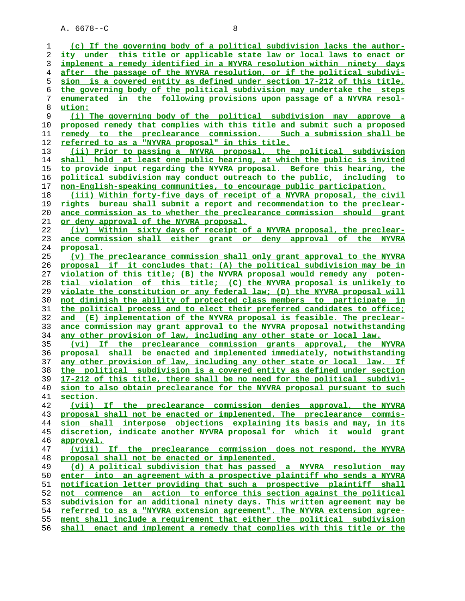| 1  | (c) If the governing body of a political subdivision lacks the author-        |
|----|-------------------------------------------------------------------------------|
| 2  | <u>ity under this title or applicable state law or local laws to enact or</u> |
| 3  | implement a remedy identified in a NYVRA resolution within ninety days        |
| 4  | after the passage of the NYVRA resolution, or if the political subdivi-       |
| 5  | sion is a covered entity as defined under section 17-212 of this title,       |
| 6  | the governing body of the political subdivision may undertake the steps       |
| 7  | enumerated in the following provisions upon passage of a NYVRA resol-         |
|    |                                                                               |
| 8  | ution:                                                                        |
| 9  | (i) The governing body of the political subdivision may approve a             |
| 10 | proposed remedy that complies with this title and submit such a proposed      |
| 11 | remedy to the preclearance commission. Such a submission shall be             |
| 12 | referred to as a "NYVRA proposal" in this title.                              |
| 13 | (ii) Prior to passing a NYVRA proposal, the political subdivision             |
| 14 | shall hold at least one public hearing, at which the public is invited        |
| 15 | to provide input regarding the NYVRA proposal. Before this hearing, the       |
| 16 | political subdivision may conduct outreach to the public, including to        |
| 17 | non-English-speaking communities, to encourage public participation.          |
| 18 | (iii) Within forty-five days of receipt of a NYVRA proposal, the civil        |
| 19 | rights bureau shall submit a report and recommendation to the preclear-       |
| 20 | ance commission as to whether the preclearance commission should grant        |
| 21 | or deny approval of the NYVRA proposal.                                       |
| 22 | (iv) Within sixty days of receipt of a NYVRA proposal, the preclear-          |
| 23 | ance commission shall either grant or deny approval of the<br><b>NYVRA</b>    |
|    |                                                                               |
| 24 | proposal.                                                                     |
| 25 | (v) The preclearance commission shall only grant approval to the NYVRA        |
| 26 | proposal if it concludes that: (A) the political subdivision may be in        |
| 27 | violation of this title; (B) the NYVRA proposal would remedy any poten-       |
| 28 | tial violation of this title; (C) the NYVRA proposal is unlikely to           |
| 29 | violate the constitution or any federal law; (D) the NYVRA proposal will      |
| 30 | not diminish the ability of protected class members to participate in         |
| 31 | the political process and to elect their preferred candidates to office;      |
| 32 | and (E) implementation of the NYVRA proposal is feasible. The preclear-       |
| 33 | ance commission may grant approval to the NYVRA proposal notwithstanding      |
| 34 | any other provision of law, including any other state or local law.           |
| 35 | (vi) If the preclearance commission grants approval, the NYVRA                |
| 36 | proposal shall be enacted and implemented immediately, notwithstanding        |
| 37 | any other provision of law, including any other state or local law. If        |
| 38 | the political subdivision is a covered entity as defined under section        |
| 39 | 17-212 of this title, there shall be no need for the political subdivi-       |
| 40 | sion to also obtain preclearance for the NYVRA proposal pursuant to such      |
| 41 | section.                                                                      |
| 42 | (vii) If the preclearance commission denies approval, the NYVRA               |
| 43 | proposal shall not be enacted or implemented. The preclearance commis-        |
|    | sion shall interpose objections explaining its basis and may, in its          |
| 44 |                                                                               |
| 45 | discretion, indicate another NYVRA proposal for which it would grant          |
| 46 | <u>approval.</u>                                                              |
| 47 | (viii) If the preclearance commission does not respond, the NYVRA             |
| 48 | proposal shall not be enacted or implemented.                                 |
| 49 | (d) A political subdivision that has passed a NYVRA resolution may            |
| 50 | enter into an agreement with a prospective plaintiff who sends a NYVRA        |
| 51 | notification letter providing that such a prospective plaintiff shall         |
| 52 | not commence an action to enforce this section against the political          |
| 53 | subdivision for an additional ninety days. This written agreement may be      |
| 54 | referred to as a "NYVRA extension agreement". The NYVRA extension agree-      |
| 55 | ment shall include a requirement that either the political subdivision        |
| 56 | shall enact and implement a remedy that complies with this title or the       |
|    |                                                                               |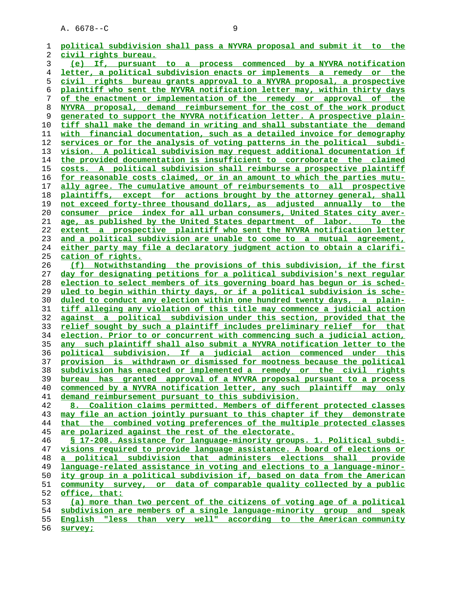**political subdivision shall pass a NYVRA proposal and submit it to the civil rights bureau. (e) If, pursuant to a process commenced by a NYVRA notification letter, a political subdivision enacts or implements a remedy or the civil rights bureau grants approval to a NYVRA proposal, a prospective plaintiff who sent the NYVRA notification letter may, within thirty days of the enactment or implementation of the remedy or approval of the NYVRA proposal, demand reimbursement for the cost of the work product generated to support the NYVRA notification letter. A prospective plain- tiff shall make the demand in writing and shall substantiate the demand with financial documentation, such as a detailed invoice for demography services or for the analysis of voting patterns in the political subdi- vision. A political subdivision may request additional documentation if the provided documentation is insufficient to corroborate the claimed costs. A political subdivision shall reimburse a prospective plaintiff for reasonable costs claimed, or in an amount to which the parties mutu- ally agree. The cumulative amount of reimbursements to all prospective plaintiffs, except for actions brought by the attorney general, shall not exceed forty-three thousand dollars, as adjusted annually to the consumer price index for all urban consumers, United States city aver- age, as published by the United States department of labor. To the extent a prospective plaintiff who sent the NYVRA notification letter and a political subdivision are unable to come to a mutual agreement, either party may file a declaratory judgment action to obtain a clarifi- cation of rights. (f) Notwithstanding the provisions of this subdivision, if the first day for designating petitions for a political subdivision's next regular election to select members of its governing board has begun or is sched- uled to begin within thirty days, or if a political subdivision is sche- duled to conduct any election within one hundred twenty days, a plain- tiff alleging any violation of this title may commence a judicial action against a political subdivision under this section, provided that the relief sought by such a plaintiff includes preliminary relief for that election. Prior to or concurrent with commencing such a judicial action, any such plaintiff shall also submit a NYVRA notification letter to the political subdivision. If a judicial action commenced under this provision is withdrawn or dismissed for mootness because the political subdivision has enacted or implemented a remedy or the civil rights bureau has granted approval of a NYVRA proposal pursuant to a process commenced by a NYVRA notification letter, any such plaintiff may only demand reimbursement pursuant to this subdivision. 8. Coalition claims permitted. Members of different protected classes may file an action jointly pursuant to this chapter if they demonstrate that the combined voting preferences of the multiple protected classes are polarized against the rest of the electorate. § 17-208. Assistance for language-minority groups. 1. Political subdi- visions required to provide language assistance. A board of elections or a political subdivision that administers elections shall provide language-related assistance in voting and elections to a language-minor** ity group in a political subdivision if, based on data from the American **community survey, or data of comparable quality collected by a public office, that: (a) more than two percent of the citizens of voting age of a political subdivision are members of a single language-minority group and speak English "less than very well" according to the American community**

**survey;**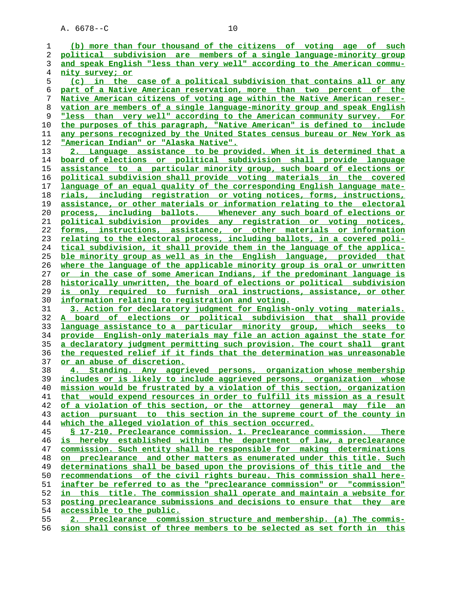| (b) more than four thousand of the citizens of voting age of such                                                                      |
|----------------------------------------------------------------------------------------------------------------------------------------|
| political subdivision are members of a single language-minority group                                                                  |
| and speak English "less than very well" according to the American commu-                                                               |
| nity survey; or                                                                                                                        |
| (c) in the case of a political subdivision that contains all or any                                                                    |
| part of a Native American reservation, more than two percent of the                                                                    |
| Native American citizens of voting age within the Native American reser-                                                               |
| vation are members of a single language-minority group and speak English                                                               |
| "less than very well" according to the American community survey. For                                                                  |
| the purposes of this paragraph, "Native American" is defined to include                                                                |
| any persons recognized by the United States census bureau or New York as                                                               |
| <u> "American Indian" or "Alaska Native".</u>                                                                                          |
| 2. Language assistance to be provided. When it is determined that a                                                                    |
| board of elections or political subdivision shall provide language                                                                     |
| assistance to a particular minority group, such board of elections or                                                                  |
| political subdivision shall provide voting materials in the covered                                                                    |
| language of an equal quality of the corresponding English language mate-                                                               |
| rials, including registration or voting notices, forms, instructions,                                                                  |
| <u>assistance, or other materials or information relating to the electoral</u>                                                         |
| process, including ballots. Whenever any such board of elections or                                                                    |
| political subdivision provides any registration or voting notices,                                                                     |
| <u>forms, instructions, assistance, or other materials or information</u>                                                              |
| <u>relating to the electoral process, including ballots, in a covered poli-</u>                                                        |
| tical subdivision, it shall provide them in the language of the applica-                                                               |
| ble minority group as well as in the English language, provided that                                                                   |
| where the language of the applicable minority group is oral or unwritten                                                               |
| or in the case of some American Indians, if the predominant language is                                                                |
| historically unwritten, the board of elections or political subdivision                                                                |
| is only required to furnish oral instructions, assistance, or other                                                                    |
| information relating to registration and voting.                                                                                       |
| 3. Action for declaratory judgment for English-only voting materials.                                                                  |
| A board of elections or political subdivision that shall provide<br>language assistance to a particular minority group, which seeks to |
| provide English-only materials may file an action against the state for                                                                |
| <u>a declaratory judgment permitting such provision. The court shall grant</u>                                                         |
| the requested relief if it finds that the determination was unreasonable                                                               |
| or an abuse of discretion.                                                                                                             |
| 4. Standing. Any aggrieved persons, organization whose membership                                                                      |
| includes or is likely to include aggrieved persons, organization whose                                                                 |
| mission would be frustrated by a violation of this section, organization                                                               |
| that would expend resources in order to fulfill its mission as a result                                                                |
| of a violation of this section, or the attorney general may file an                                                                    |
| action pursuant to this section in the supreme court of the county in                                                                  |
| which the alleged violation of this section occurred.                                                                                  |
| § 17-210. Preclearance commission. 1. Preclearance commission.<br>There                                                                |
| is hereby established within the department of law, a preclearance                                                                     |
| commission. Such entity shall be responsible for making determinations                                                                 |
| on preclearance and other matters as enumerated under this title. Such                                                                 |
| determinations shall be based upon the provisions of this title and the                                                                |
| recommendations of the civil rights bureau. This commission shall here-                                                                |
| inafter be referred to as the "preclearance commission" or "commission"                                                                |
| in this title. The commission shall operate and maintain a website for                                                                 |
| posting preclearance submissions and decisions to ensure that they are                                                                 |
| accessible to the public.                                                                                                              |
| 2. Preclearance commission structure and membership. (a) The commis-                                                                   |
|                                                                                                                                        |

**sion shall consist of three members to be selected as set forth in this**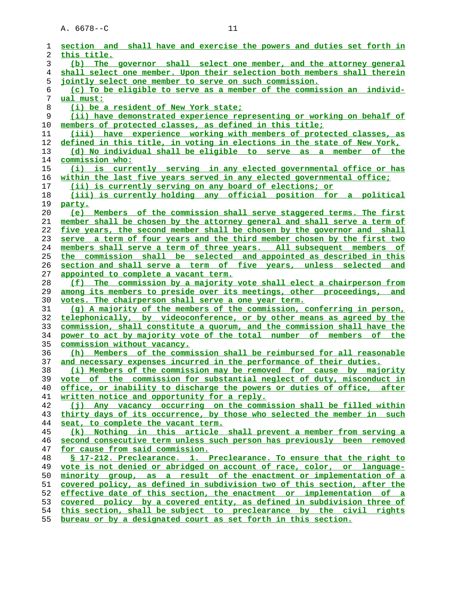| 1  | section and shall have and exercise the powers and duties set forth in       |
|----|------------------------------------------------------------------------------|
| 2  | this title.                                                                  |
| 3  | (b) The governor shall select one member, and the attorney general           |
| 4  | shall select one member. Upon their selection both members shall therein     |
| 5  | jointly select one member to serve on such commission.                       |
| 6  | (c) To be eligible to serve as a member of the commission an individ-        |
| 7  | ual must:                                                                    |
| 8  | (i) be a resident of New York state;                                         |
| 9  | (ii) have demonstrated experience representing or working on behalf of       |
| 10 | members of protected classes, as defined in this title;                      |
| 11 | (iii) have experience working with members of protected classes, as          |
| 12 | defined in this title, in voting in elections in the state of New York,      |
| 13 | (d) No individual shall be eligible to serve as a member of the              |
| 14 | commission who:                                                              |
| 15 | (i) is currently serving in any elected governmental office or has           |
| 16 | <u>within the last five years served in any elected governmental office;</u> |
| 17 | (ii) is currently serving on any board of elections; or                      |
| 18 | (iii) is currently holding any official position for a political             |
| 19 | party.                                                                       |
| 20 | (e) Members of the commission shall serve staggered terms. The first         |
| 21 | member shall be chosen by the attorney general and shall serve a term of     |
| 22 | five years, the second member shall be chosen by the governor and shall      |
| 23 | serve a term of four years and the third member chosen by the first two      |
| 24 | members shall serve a term of three years. All subsequent members of         |
| 25 | the commission shall be selected and appointed as described in this          |
| 26 | section and shall serve a term of five years, unless selected and            |
| 27 | appointed to complete a vacant term.                                         |
| 28 | (f) The commission by a majority vote shall elect a chairperson from         |
| 29 | among its members to preside over its meetings, other proceedings,<br>and    |
| 30 | votes. The chairperson shall serve a one year term.                          |
| 31 | (g) A majority of the members of the commission, conferring in person,       |
| 32 | telephonically, by videoconference, or by other means as agreed by the       |
| 33 | commission, shall constitute a quorum, and the commission shall have the     |
| 34 | power to act by majority vote of the total number of members of the          |
| 35 | commission without vacancy.                                                  |
| 36 | (h) Members of the commission shall be reimbursed for all reasonable         |
| 37 | and necessary expenses incurred in the performance of their duties.          |
| 38 | (i) Members of the commission may be removed for cause by majority           |
| 39 | vote of the commission for substantial neglect of duty, misconduct in        |
| 40 | office, or inability to discharge the powers or duties of office, after      |
| 41 | written notice and opportunity for a reply.                                  |
| 42 | (j) Any vacancy occurring on the commission shall be filled within           |
| 43 | thirty days of its occurrence, by those who selected the member in such      |
| 44 | seat, to complete the vacant term.                                           |
| 45 | (k) Nothing in this article shall prevent a member from serving a            |
| 46 | second consecutive term unless such person has previously been removed       |
| 47 | for cause from said commission.                                              |
| 48 | § 17-212. Preclearance. 1. Preclearance. To ensure that the right to         |
| 49 | vote is not denied or abridged on account of race, color, or language-       |
| 50 | minority group, as a result of the enactment or implementation of a          |
| 51 | covered policy, as defined in subdivision two of this section, after the     |
| 52 | effective date of this section, the enactment or implementation of a         |
| 53 | covered policy by a covered entity, as defined in subdivision three of       |
| 54 | this section, shall be subject to preclearance by the civil rights           |
| 55 | bureau or by a designated court as set forth in this section.                |
|    |                                                                              |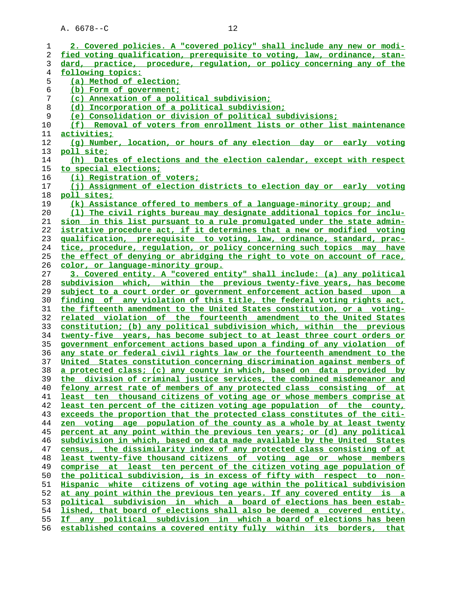**2. Covered policies. A "covered policy" shall include any new or modi- fied voting qualification, prerequisite to voting, law, ordinance, stan- dard, practice, procedure, regulation, or policy concerning any of the following topics: (a) Method of election; (b) Form of government; (c) Annexation of a political subdivision; (d) Incorporation of a political subdivision; (e) Consolidation or division of political subdivisions; (f) Removal of voters from enrollment lists or other list maintenance activities; (g) Number, location, or hours of any election day or early voting poll site; (h) Dates of elections and the election calendar, except with respect to special elections; (i) Registration of voters; (j) Assignment of election districts to election day or early voting poll sites; (k) Assistance offered to members of a language-minority group; and (l) The civil rights bureau may designate additional topics for inclu- sion in this list pursuant to a rule promulgated under the state admin- istrative procedure act, if it determines that a new or modified voting qualification, prerequisite to voting, law, ordinance, standard, prac- tice, procedure, regulation, or policy concerning such topics may have the effect of denying or abridging the right to vote on account of race, color, or language-minority group. 3. Covered entity. A "covered entity" shall include: (a) any political subdivision which, within the previous twenty-five years, has become subject to a court order or government enforcement action based upon a finding of any violation of this title, the federal voting rights act, the fifteenth amendment to the United States constitution, or a voting- related violation of the fourteenth amendment to the United States constitution; (b) any political subdivision which, within the previous twenty-five years, has become subject to at least three court orders or government enforcement actions based upon a finding of any violation of any state or federal civil rights law or the fourteenth amendment to the United States constitution concerning discrimination against members of a protected class; (c) any county in which, based on data provided by the division of criminal justice services, the combined misdemeanor and felony arrest rate of members of any protected class consisting of at least ten thousand citizens of voting age or whose members comprise at least ten percent of the citizen voting age population of the county, exceeds the proportion that the protected class constitutes of the citi- zen voting age population of the county as a whole by at least twenty percent at any point within the previous ten years; or (d) any political subdivision in which, based on data made available by the United States census, the dissimilarity index of any protected class consisting of at least twenty-five thousand citizens of voting age or whose members comprise at least ten percent of the citizen voting age population of the political subdivision, is in excess of fifty with respect to non- Hispanic white citizens of voting age within the political subdivision at any point within the previous ten years. If any covered entity is a political subdivision in which a board of elections has been estab- lished, that board of elections shall also be deemed a covered entity. If any political subdivision in which a board of elections has been established contains a covered entity fully within its borders, that**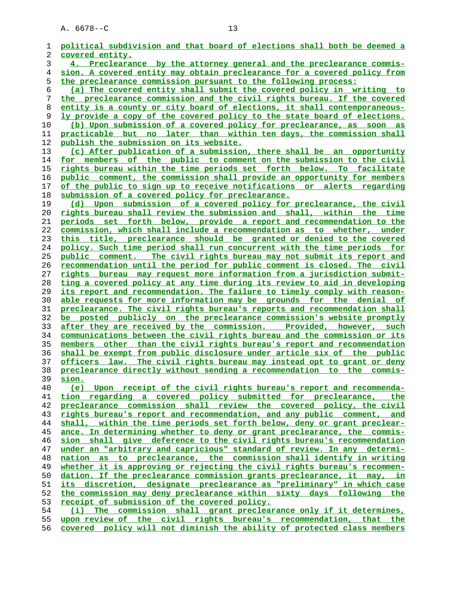| 1  | political subdivision and that board of elections shall both be deemed a |
|----|--------------------------------------------------------------------------|
| 2  | covered entity.                                                          |
| 3  | 4. Preclearance by the attorney general and the preclearance commis-     |
| 4  | sion. A covered entity may obtain preclearance for a covered policy from |
| 5  | the preclearance commission pursuant to the following process:           |
| 6  | (a) The covered entity shall submit the covered policy in writing to     |
| 7  | the preclearance commission and the civil rights bureau. If the covered  |
|    |                                                                          |
| 8  | entity is a county or city board of elections, it shall contemporaneous- |
| 9  | ly provide a copy of the covered policy to the state board of elections. |
| 10 | (b) Upon submission of a covered policy for preclearance, as soon as     |
| 11 | practicable but no later than within ten days, the commission shall      |
| 12 | publish the submission on its website.                                   |
| 13 | (c) After publication of a submission, there shall be an opportunity     |
| 14 | for members of the public to comment on the submission to the civil      |
| 15 | rights bureau within the time periods set forth below. To facilitate     |
| 16 | public comment, the commission shall provide an opportunity for members  |
| 17 | of the public to sign up to receive notifications or alerts regarding    |
|    |                                                                          |
| 18 | submission of a covered policy for preclearance.                         |
| 19 | (d) Upon submission of a covered policy for preclearance, the civil      |
| 20 | rights bureau shall review the submission and shall, within the time     |
| 21 | periods set forth below, provide a report and recommendation to the      |
| 22 | commission, which shall include a recommendation as to whether, under    |
| 23 | this title, preclearance should be granted or denied to the covered      |
| 24 | policy. Such time period shall run concurrent with the time periods for  |
| 25 | public comment. The civil rights bureau may not submit its report and    |
| 26 | recommendation until the period for public comment is closed. The civil  |
| 27 | rights bureau may request more information from a jurisdiction submit-   |
| 28 | ting a covered policy at any time during its review to aid in developing |
|    |                                                                          |
| 29 | its report and recommendation. The failure to timely comply with reason- |
| 30 | able requests for more information may be grounds for the denial of      |
| 31 | preclearance. The civil rights bureau's reports and recommendation shall |
| 32 | be posted publicly on the preclearance commission's website promptly     |
| 33 | after they are received by the commission. Provided, however, such       |
| 34 | communications between the civil rights bureau and the commission or its |
| 35 | members other than the civil rights bureau's report and recommendation   |
| 36 | shall be exempt from public disclosure under article six of the public   |
| 37 | officers law. The civil rights bureau may instead opt to grant or deny   |
| 38 | preclearance directly without sending a recommendation to the commis-    |
| 39 | sion.                                                                    |
| 40 | (e) Upon receipt of the civil rights bureau's report and recommenda-     |
| 41 | tion regarding a covered policy submitted for preclearance, the          |
| 42 | preclearance commission shall review the covered policy, the civil       |
| 43 | rights bureau's report and recommendation, and any public comment, and   |
|    |                                                                          |
| 44 | shall, within the time periods set forth below, deny or grant preclear-  |
| 45 | ance. In determining whether to deny or grant preclearance, the commis-  |
| 46 | sion shall give deference to the civil rights bureau's recommendation    |
| 47 | under an "arbitrary and capricious" standard of review. In any determi-  |
| 48 | nation as to preclearance, the commission shall identify in writing      |
| 49 | whether it is approving or rejecting the civil rights bureau's recommen- |
| 50 | dation. If the preclearance commission grants preclearance, it may, in   |
| 51 | its discretion, designate preclearance as "preliminary" in which case    |
| 52 | the commission may deny preclearance within sixty days following the     |
| 53 | receipt of submission of the covered policy.                             |
| 54 | (i) The commission shall grant preclearance only if it determines,       |
| 55 | upon review of the civil rights bureau's recommendation, that the        |
|    | covered policy will not diminish the ability of protected class members  |
| 56 |                                                                          |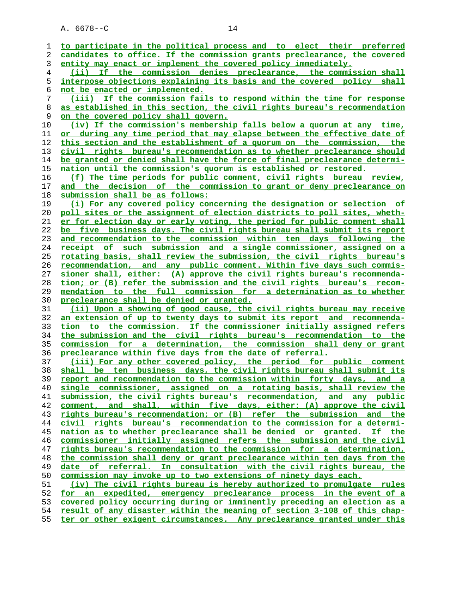**to participate in the political process and to elect their preferred candidates to office. If the commission grants preclearance, the covered entity may enact or implement the covered policy immediately. (ii) If the commission denies preclearance, the commission shall interpose objections explaining its basis and the covered policy shall not be enacted or implemented. (iii) If the commission fails to respond within the time for response as established in this section, the civil rights bureau's recommendation on the covered policy shall govern. (iv) If the commission's membership falls below a quorum at any time, or during any time period that may elapse between the effective date of this section and the establishment of a quorum on the commission, the civil rights bureau's recommendation as to whether preclearance should be granted or denied shall have the force of final preclearance determi- nation until the commission's quorum is established or restored. (f) The time periods for public comment, civil rights bureau review, and the decision of the commission to grant or deny preclearance on submission shall be as follows: (i) For any covered policy concerning the designation or selection of poll sites or the assignment of election districts to poll sites, wheth- er for election day or early voting, the period for public comment shall be five business days. The civil rights bureau shall submit its report and recommendation to the commission within ten days following the receipt of such submission and a single commissioner, assigned on a rotating basis, shall review the submission, the civil rights bureau's recommendation, and any public comment. Within five days such commis- sioner shall, either: (A) approve the civil rights bureau's recommenda- tion; or (B) refer the submission and the civil rights bureau's recom- mendation to the full commission for a determination as to whether preclearance shall be denied or granted. (ii) Upon a showing of good cause, the civil rights bureau may receive an extension of up to twenty days to submit its report and recommenda- tion to the commission. If the commissioner initially assigned refers the submission and the civil rights bureau's recommendation to the commission for a determination, the commission shall deny or grant preclearance within five days from the date of referral. (iii) For any other covered policy, the period for public comment shall be ten business days, the civil rights bureau shall submit its report and recommendation to the commission within forty days, and a single commissioner, assigned on a rotating basis, shall review the submission, the civil rights bureau's recommendation, and any public comment, and shall, within five days, either: (A) approve the civil rights bureau's recommendation; or (B) refer the submission and the civil rights bureau's recommendation to the commission for a determi- nation as to whether preclearance shall be denied or granted. If the commissioner initially assigned refers the submission and the civil rights bureau's recommendation to the commission for a determination, the commission shall deny or grant preclearance within ten days from the date of referral. In consultation with the civil rights bureau, the commission may invoke up to two extensions of ninety days each. (iv) The civil rights bureau is hereby authorized to promulgate rules for an expedited, emergency preclearance process in the event of a covered policy occurring during or imminently preceding an election as a result of any disaster within the meaning of section 3-108 of this chap- ter or other exigent circumstances. Any preclearance granted under this**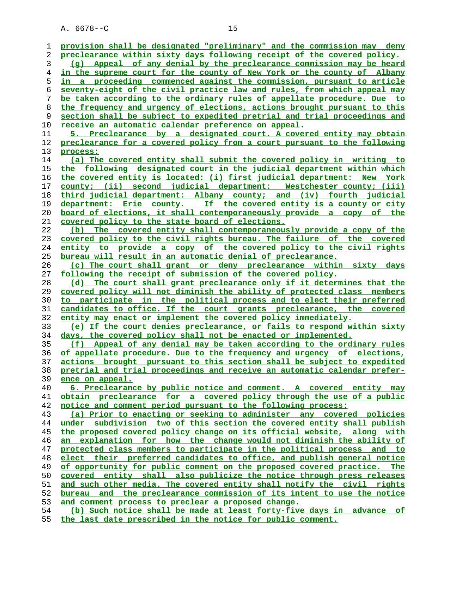| ı  | provision shall be designated "preliminary" and the commission may deny  |
|----|--------------------------------------------------------------------------|
| 2  | preclearance within sixty days following receipt of the covered policy.  |
| 3  | (q) Appeal of any denial by the preclearance commission may be heard     |
| 4  | in the supreme court for the county of New York or the county of Albany  |
| 5  | in a proceeding commenced against the commission, pursuant to article    |
| 6  | seventy-eight of the civil practice law and rules, from which appeal may |
| 7  | be taken according to the ordinary rules of appellate procedure. Due to  |
| 8  | the frequency and urgency of elections, actions brought pursuant to this |
| 9  | section shall be subject to expedited pretrial and trial proceedings and |
| 10 | receive an automatic calendar preference on appeal.                      |
| 11 | 5. Preclearance by a designated court. A covered entity may obtain       |
| 12 | preclearance for a covered policy from a court pursuant to the following |
| 13 | process:                                                                 |
| 14 | (a) The covered entity shall submit the covered policy in writing to     |
| 15 | the following designated court in the judicial department within which   |
| 16 | the covered entity is located: (i) first judicial department: New York   |
| 17 | county; (ii) second judicial department: Westchester county; (iii)       |
| 18 | third judicial department: Albany county; and (iv) fourth judicial       |
| 19 | department: Erie county. If the covered entity is a county or city       |
| 20 | board of elections, it shall contemporaneously provide a copy of the     |
| 21 | covered policy to the state board of elections.                          |
| 22 | (b) The covered entity shall contemporaneously provide a copy of the     |
| 23 | covered policy to the civil rights bureau. The failure of the covered    |
| 24 | entity to provide a copy of the covered policy to the civil rights       |
| 25 | bureau will result in an automatic denial of preclearance.               |
| 26 | (c) The court shall grant or deny preclearance within sixty days         |
| 27 | following the receipt of submission of the covered policy.               |
| 28 | The court shall grant preclearance only if it determines that the<br>(d) |
| 29 | covered policy will not diminish the ability of protected class members  |
| 30 | to participate in the political process and to elect their preferred     |
| 31 | candidates to office. If the court grants preclearance, the covered      |
| 32 | entity may enact or implement the covered policy immediately.            |
| 33 | (e) If the court denies preclearance, or fails to respond within sixty   |
| 34 | days, the covered policy shall not be enacted or implemented.            |
| 35 | (f) Appeal of any denial may be taken according to the ordinary rules    |
| 36 | of appellate procedure. Due to the frequency and urgency of elections,   |
| 37 | actions brought pursuant to this section shall be subject to expedited   |
| 38 | pretrial and trial proceedings and receive an automatic calendar prefer- |
| 39 | ence on appeal.                                                          |
| 40 | 6. Preclearance by public notice and comment. A covered entity may       |
| 41 | obtain preclearance for a covered policy through the use of a public     |
| 42 | notice and comment period pursuant to the following process:             |
| 43 | (a) Prior to enacting or seeking to administer any covered policies      |
| 44 | under subdivision two of this section the covered entity shall publish   |
| 45 | the proposed covered policy change on its official website, along with   |
| 46 | an explanation for how the change would not diminish the ability of      |
| 47 | protected class members to participate in the political process and to   |
| 48 | elect their preferred candidates to office, and publish general notice   |
| 49 | of opportunity for public comment on the proposed covered practice. The  |
| 50 | covered entity shall also publicize the notice through press releases    |
| 51 | and such other media. The covered entity shall notify the civil rights   |
| 52 | bureau and the preclearance commission of its intent to use the notice   |
| 53 | and comment process to preclear a proposed change.                       |
| 54 | (b) Such notice shall be made at least forty-five days in advance of     |
| 55 | the last date prescribed in the notice for public comment.               |
|    |                                                                          |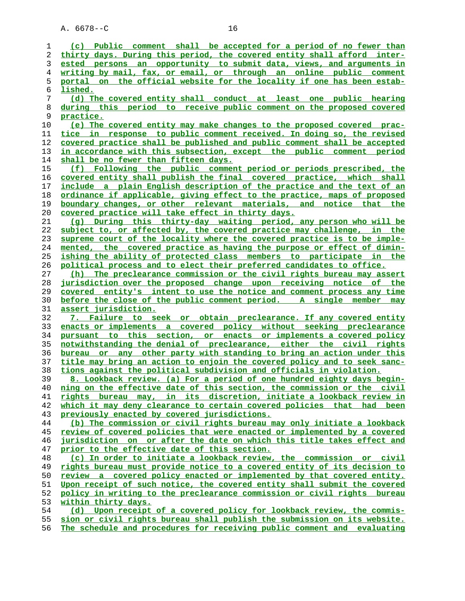**(c) Public comment shall be accepted for a period of no fewer than thirty days. During this period, the covered entity shall afford inter- ested persons an opportunity to submit data, views, and arguments in writing by mail, fax, or email, or through an online public comment portal on the official website for the locality if one has been estab- lished. (d) The covered entity shall conduct at least one public hearing during this period to receive public comment on the proposed covered practice.**<br>10 (e) The **(e) The covered entity may make changes to the proposed covered prac- tice in response to public comment received. In doing so, the revised covered practice shall be published and public comment shall be accepted in accordance with this subsection, except the public comment period shall be no fewer than fifteen days. (f) Following the public comment period or periods prescribed, the covered entity shall publish the final covered practice, which shall include a plain English description of the practice and the text of an ordinance if applicable, giving effect to the practice, maps of proposed boundary changes, or other relevant materials, and notice that the covered practice will take effect in thirty days. (g) During this thirty-day waiting period, any person who will be subject to, or affected by, the covered practice may challenge, in the supreme court of the locality where the covered practice is to be imple- mented, the covered practice as having the purpose or effect of dimin- ishing the ability of protected class members to participate in the political process and to elect their preferred candidates to office. (h) The preclearance commission or the civil rights bureau may assert jurisdiction over the proposed change upon receiving notice of the covered entity's intent to use the notice and comment process any time before the close of the public comment period. A single member may assert jurisdiction. 7. Failure to seek or obtain preclearance. If any covered entity enacts or implements a covered policy without seeking preclearance pursuant to this section, or enacts or implements a covered policy notwithstanding the denial of preclearance, either the civil rights bureau or any other party with standing to bring an action under this title may bring an action to enjoin the covered policy and to seek sanc- tions against the political subdivision and officials in violation. 8. Lookback review. (a) For a period of one hundred eighty days begin- ning on the effective date of this section, the commission or the civil rights bureau may, in its discretion, initiate a lookback review in which it may deny clearance to certain covered policies that had been previously enacted by covered jurisdictions. (b) The commission or civil rights bureau may only initiate a lookback review of covered policies that were enacted or implemented by a covered jurisdiction on or after the date on which this title takes effect and prior to the effective date of this section. (c) In order to initiate a lookback review, the commission or civil rights bureau must provide notice to a covered entity of its decision to review a covered policy enacted or implemented by that covered entity. Upon receipt of such notice, the covered entity shall submit the covered policy in writing to the preclearance commission or civil rights bureau within thirty days. (d) Upon receipt of a covered policy for lookback review, the commis- sion or civil rights bureau shall publish the submission on its website. The schedule and procedures for receiving public comment and evaluating**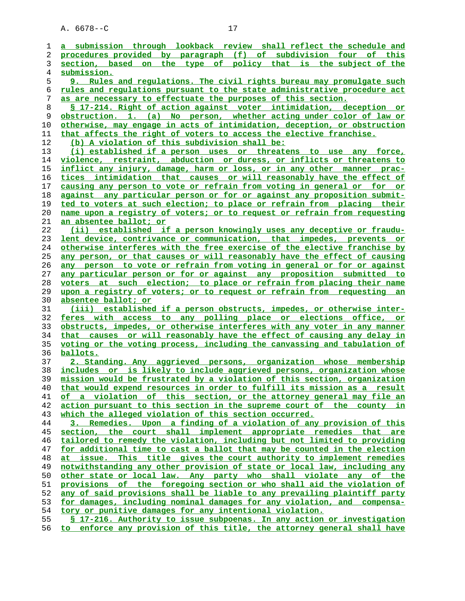**a submission through lookback review shall reflect the schedule and procedures provided by paragraph (f) of subdivision four of this section, based on the type of policy that is the subject of the submission. 9. Rules and regulations. The civil rights bureau may promulgate such rules and regulations pursuant to the state administrative procedure act as are necessary to effectuate the purposes of this section. § 17-214. Right of action against voter intimidation, deception or obstruction. 1. (a) No person, whether acting under color of law or otherwise, may engage in acts of intimidation, deception, or obstruction that affects the right of voters to access the elective franchise. (b) A violation of this subdivision shall be: (i) established if a person uses or threatens to use any force, violence, restraint, abduction or duress, or inflicts or threatens to inflict any injury, damage, harm or loss, or in any other manner prac- tices intimidation that causes or will reasonably have the effect of causing any person to vote or refrain from voting in general or for or against any particular person or for or against any proposition submit- ted to voters at such election; to place or refrain from placing their name upon a registry of voters; or to request or refrain from requesting an absentee ballot; or (ii) established if a person knowingly uses any deceptive or fraudu- lent device, contrivance or communication, that impedes, prevents or otherwise interferes with the free exercise of the elective franchise by any person, or that causes or will reasonably have the effect of causing any person to vote or refrain from voting in general or for or against any particular person or for or against any proposition submitted to voters at such election; to place or refrain from placing their name upon a registry of voters; or to request or refrain from requesting an absentee ballot; or (iii) established if a person obstructs, impedes, or otherwise inter- feres with access to any polling place or elections office, or obstructs, impedes, or otherwise interferes with any voter in any manner that causes or will reasonably have the effect of causing any delay in voting or the voting process, including the canvassing and tabulation of ballots. 2. Standing. Any aggrieved persons, organization whose membership includes or is likely to include aggrieved persons, organization whose mission would be frustrated by a violation of this section, organization that would expend resources in order to fulfill its mission as a result of a violation of this section, or the attorney general may file an action pursuant to this section in the supreme court of the county in which the alleged violation of this section occurred. 3. Remedies. Upon a finding of a violation of any provision of this section, the court shall implement appropriate remedies that are tailored to remedy the violation, including but not limited to providing for additional time to cast a ballot that may be counted in the election at issue. This title gives the court authority to implement remedies notwithstanding any other provision of state or local law, including any other state or local law. Any party who shall violate any of the provisions of the foregoing section or who shall aid the violation of any of said provisions shall be liable to any prevailing plaintiff party for damages, including nominal damages for any violation, and compensa- tory or punitive damages for any intentional violation. § 17-216. Authority to issue subpoenas. In any action or investigation**

**to enforce any provision of this title, the attorney general shall have**